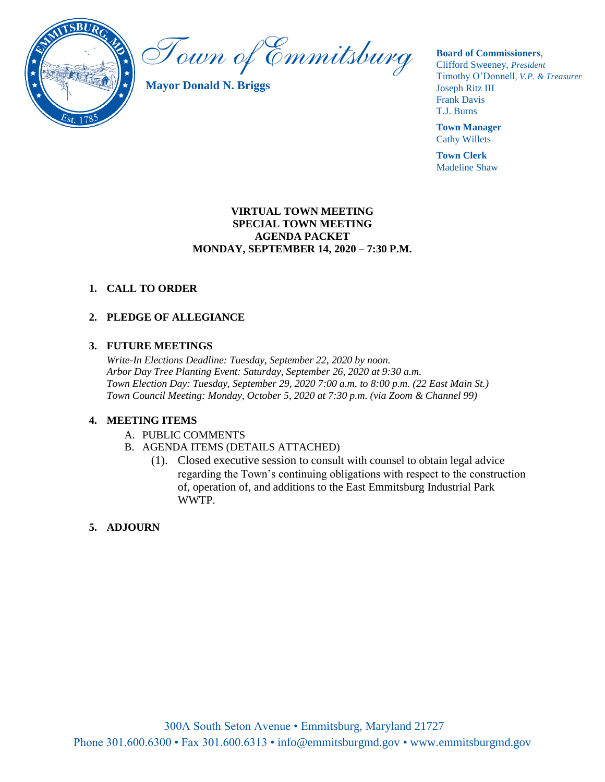

Town of Emmitsburg

**Mayor Donald N. Briggs**

**Board of Commissioners**,

Clifford Sweeney, *President* Timothy O'Donnell*, V.P. & Treasurer*  Joseph Ritz III Frank Davis T.J. Burns

**Town Manager** Cathy Willets

**Town Clerk** Madeline Shaw

### **VIRTUAL TOWN MEETING SPECIAL TOWN MEETING AGENDA PACKET MONDAY, SEPTEMBER 14, 2020 – 7:30 P.M.**

## **1. CALL TO ORDER**

# **2. PLEDGE OF ALLEGIANCE**

#### **3. FUTURE MEETINGS**

*Write-In Elections Deadline: Tuesday, September 22, 2020 by noon. Arbor Day Tree Planting Event: Saturday, September 26, 2020 at 9:30 a.m. Town Election Day: Tuesday, September 29, 2020 7:00 a.m. to 8:00 p.m. (22 East Main St.) Town Council Meeting: Monday, October 5, 2020 at 7:30 p.m. (via Zoom & Channel 99)*

#### **4. MEETING ITEMS**

- A. PUBLIC COMMENTS
- B. AGENDA ITEMS (DETAILS ATTACHED)
	- (1). Closed executive session to consult with counsel to obtain legal advice regarding the Town's continuing obligations with respect to the construction of, operation of, and additions to the East Emmitsburg Industrial Park WWTP.

### **5. ADJOURN**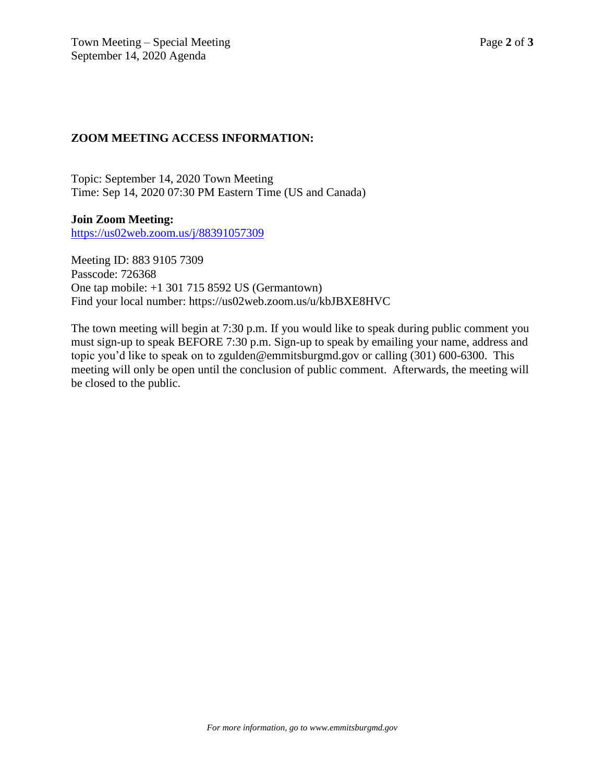# **ZOOM MEETING ACCESS INFORMATION:**

Topic: September 14, 2020 Town Meeting Time: Sep 14, 2020 07:30 PM Eastern Time (US and Canada)

**Join Zoom Meeting:** <https://us02web.zoom.us/j/88391057309>

Meeting ID: 883 9105 7309 Passcode: 726368 One tap mobile: +1 301 715 8592 US (Germantown) Find your local number: https://us02web.zoom.us/u/kbJBXE8HVC

The town meeting will begin at 7:30 p.m. If you would like to speak during public comment you must sign-up to speak BEFORE 7:30 p.m. Sign-up to speak by emailing your name, address and topic you'd like to speak on to zgulden@emmitsburgmd.gov or calling (301) 600-6300. This meeting will only be open until the conclusion of public comment. Afterwards, the meeting will be closed to the public.